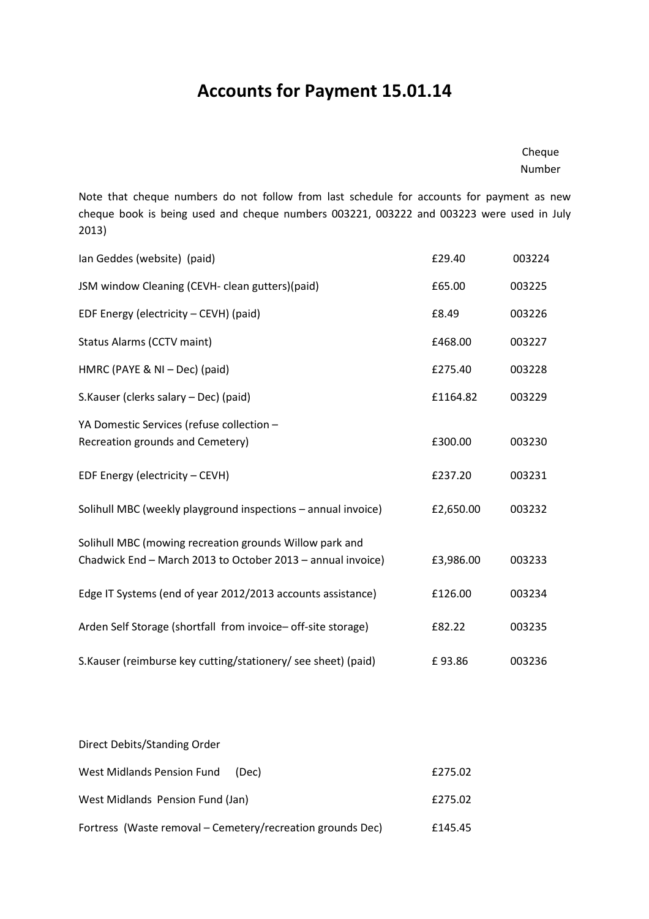## Accounts for Payment 15.01.14

## Cheque Number

Note that cheque numbers do not follow from last schedule for accounts for payment as new cheque book is being used and cheque numbers 003221, 003222 and 003223 were used in July 2013)

| Ian Geddes (website) (paid)                                                                                            | £29.40    | 003224 |
|------------------------------------------------------------------------------------------------------------------------|-----------|--------|
| JSM window Cleaning (CEVH- clean gutters) (paid)                                                                       | £65.00    | 003225 |
| EDF Energy (electricity - CEVH) (paid)                                                                                 | £8.49     | 003226 |
| <b>Status Alarms (CCTV maint)</b>                                                                                      | £468.00   | 003227 |
| HMRC (PAYE & NI - Dec) (paid)                                                                                          | £275.40   | 003228 |
| S.Kauser (clerks salary - Dec) (paid)                                                                                  | £1164.82  | 003229 |
| YA Domestic Services (refuse collection -<br>Recreation grounds and Cemetery)                                          | £300.00   | 003230 |
| EDF Energy (electricity - CEVH)                                                                                        | £237.20   | 003231 |
| Solihull MBC (weekly playground inspections - annual invoice)                                                          | £2,650.00 | 003232 |
| Solihull MBC (mowing recreation grounds Willow park and<br>Chadwick End - March 2013 to October 2013 - annual invoice) | £3,986.00 | 003233 |
| Edge IT Systems (end of year 2012/2013 accounts assistance)                                                            | £126.00   | 003234 |
| Arden Self Storage (shortfall from invoice- off-site storage)                                                          | £82.22    | 003235 |
| S.Kauser (reimburse key cutting/stationery/ see sheet) (paid)                                                          | £93.86    | 003236 |

| Direct Debits/Standing Order                               |         |
|------------------------------------------------------------|---------|
| West Midlands Pension Fund<br>(Dec)                        | £275.02 |
| West Midlands Pension Fund (Jan)                           | £275.02 |
| Fortress (Waste removal - Cemetery/recreation grounds Dec) | £145.45 |